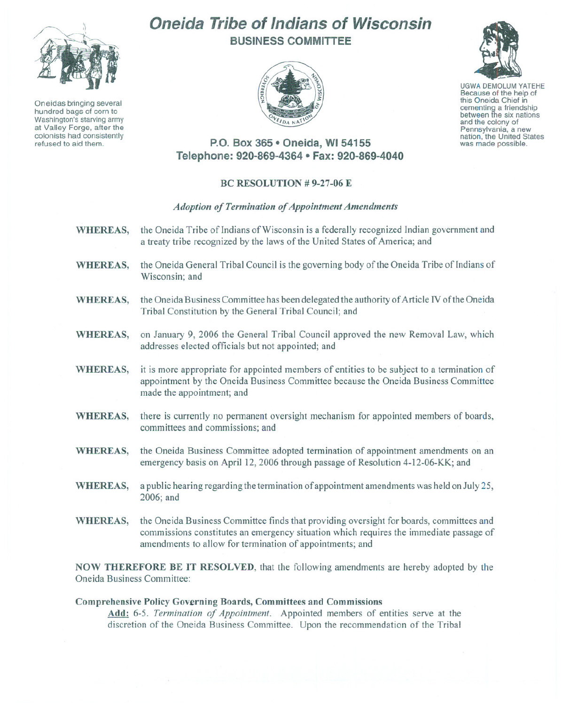

Oneidas bringing several hundred bags of corn to Washington's starving army at Valley Forge, after the colonists had consistently refused to aid them.

# **Oneida Tribe of Indians of Wisconsin BUSINESS COMMITTEE**





UGWA DEMOLUM YATEHE Because of the help of this Oneida Chief in cementing <sup>a</sup> friendship between the six nations and the colony of<br>Pennsylvania, a new nation, the United States was made possible.

# **P.O. Box 365 • Oneida, WI 54155 Telephone: 920-869-4364 • Fax: 920-869-4040**

## BC RESOLUTION # 9-27-06 E

## *Adoption of Termination of Appointment Amendments*

- WHEREAS, the Oneida Tribe of Indians of Wisconsin is a federally recognized Indian government and a treaty tribe recognized by the laws of the United States of America; and
- WHEREAS, the Oneida General Tribal Council is the governing body of the Oneida Tribe of Indians of Wisconsin; and
- WHEREAS, the Oneida Business Committee has been delegated the authority of Article IV of the Oneida Tribal Constitution by the General Tribal Council; and
- WHEREAS, on January 9, 2006 the General Tribal Council approved the new Removal Law, which addresses elected officials but not appointed; and
- WHEREAS, it is more appropriate for appointed members of entities to be subject to a termination of appointment by the Oneida Business Committee because the Oneida Business Committee made the appointment; and
- WHEREAS, there is currently no permanent oversight mechanism for appointed members of boards, committees and commissions; and
- WHEREAS, the Oneida Business Committee adopted termination of appointment amendments on an emergency basis on April 12, 2006 through passage of Resolution 4-12-06-KK; and
- WHEREAS, a public hearing regarding the termination of appointment amendments was held on July 25, 2006; and
- WHEREAS, the Oneida Business Committee finds that providing oversight for boards, committees and commissions constitutes an emergency situation which requires the immediate passage of amendments to allow for termination of appointments; and

NOW THEREFORE BE **IT** RESOLVED, that the following amendments are hereby adopted by the Oneida Business Committee:

### Comprehensive Policy Governing Boards, Committees and Commissions

Add: 6-5. *Termination of Appointment.* Appointed members of entities serve at the discretion of the Oneida Business Committee. Upon the recommendation of the Tribal